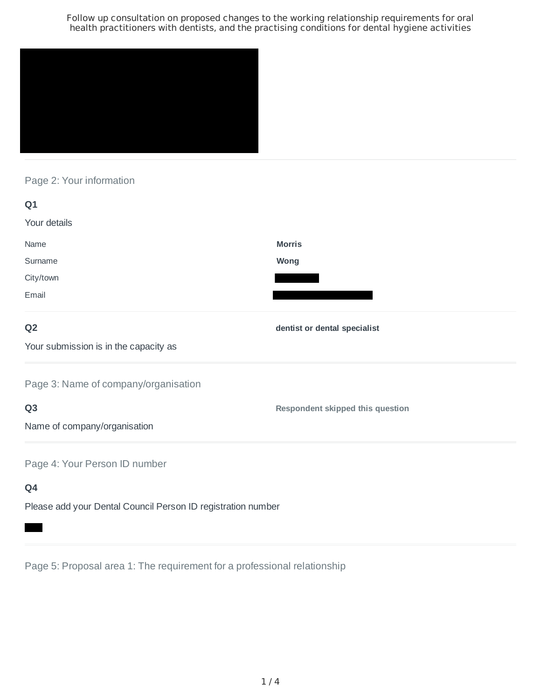

# Page 2: Your information

| Q1                                    |                                         |
|---------------------------------------|-----------------------------------------|
| Your details                          |                                         |
| Name                                  | <b>Morris</b>                           |
| Surname                               | <b>Wong</b>                             |
| City/town                             |                                         |
| Email                                 |                                         |
| Q <sub>2</sub>                        | dentist or dental specialist            |
| Your submission is in the capacity as |                                         |
| Page 3: Name of company/organisation  |                                         |
| Q <sub>3</sub>                        | <b>Respondent skipped this question</b> |
| Name of company/organisation          |                                         |
| Page 4: Your Person ID number         |                                         |
| Q4                                    |                                         |

Please add your Dental Council Person ID registration number

Page 5: Proposal area 1: The requirement for a professional relationship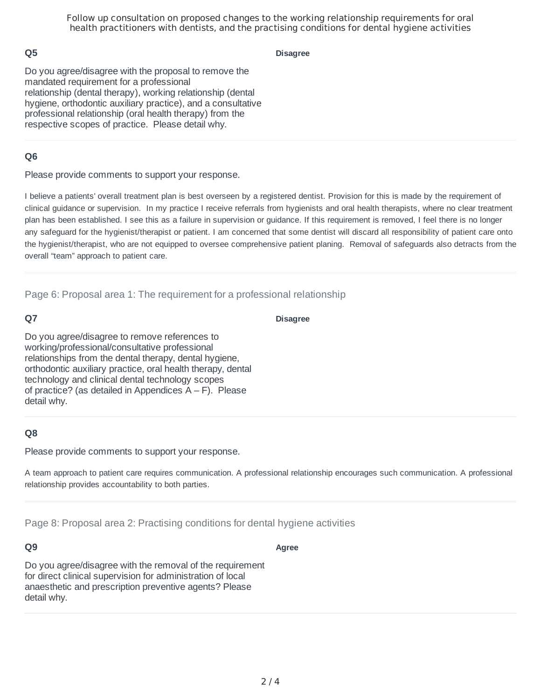#### **Q5**

**Disagree**

Do you agree/disagree with the proposal to remove the mandated requirement for a professional relationship (dental therapy), working relationship (dental hygiene, orthodontic auxiliary practice), and a consultative professional relationship (oral health therapy) from the respective scopes of practice. Please detail why.

## **Q6**

Please provide comments to support your response.

I believe a patients' overall treatment plan is best overseen by a registered dentist. Provision for this is made by the requirement of clinical guidance or supervision. In my practice I receive referrals from hygienists and oral health therapists, where no clear treatment plan has been established. I see this as a failure in supervision or guidance. If this requirement is removed, I feel there is no longer any safeguard for the hygienist/therapist or patient. I am concerned that some dentist will discard all responsibility of patient care onto the hygienist/therapist, who are not equipped to oversee comprehensive patient planing. Removal of safeguards also detracts from the overall "team" approach to patient care.

Page 6: Proposal area 1: The requirement for a professional relationship

## **Q7**

**Disagree**

Do you agree/disagree to remove references to working/professional/consultative professional relationships from the dental therapy, dental hygiene, orthodontic auxiliary practice, oral health therapy, dental technology and clinical dental technology scopes of practice? (as detailed in Appendices  $A - F$ ). Please detail why.

# **Q8**

Please provide comments to support your response.

A team approach to patient care requires communication. A professional relationship encourages such communication. A professional relationship provides accountability to both parties.

Page 8: Proposal area 2: Practising conditions for dental hygiene activities

#### **Q9**

**Agree**

Do you agree/disagree with the removal of the requirement for direct clinical supervision for administration of local anaesthetic and prescription preventive agents? Please detail why.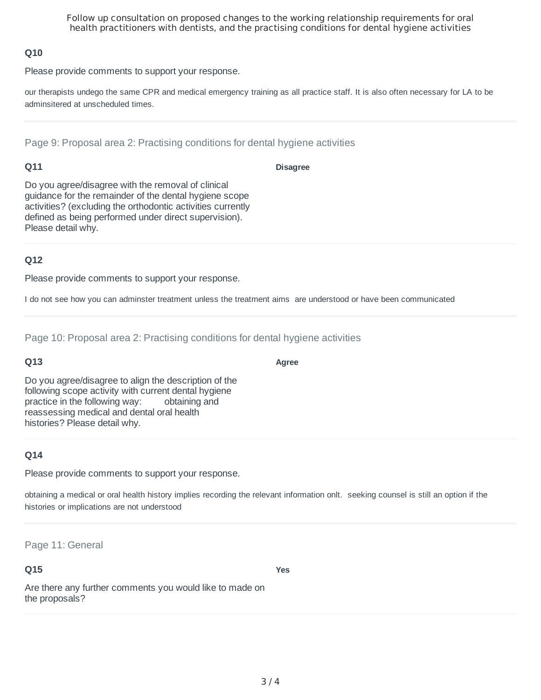## **Q10**

Please provide comments to support your response.

our therapists undego the same CPR and medical emergency training as all practice staff. It is also often necessary for LA to be adminsitered at unscheduled times.

Page 9: Proposal area 2: Practising conditions for dental hygiene activities

## **Q11**

**Disagree**

**Agree**

Do you agree/disagree with the removal of clinical guidance for the remainder of the dental hygiene scope activities? (excluding the orthodontic activities currently defined as being performed under direct supervision). Please detail why.

## **Q12**

Please provide comments to support your response.

I do not see how you can adminster treatment unless the treatment aims are understood or have been communicated

Page 10: Proposal area 2: Practising conditions for dental hygiene activities

# **Q13**

Do you agree/disagree to align the description of the following scope activity with current dental hygiene practice in the following way: obtaining and reassessing medical and dental oral health histories? Please detail why.

# **Q14**

Please provide comments to support your response.

obtaining a medical or oral health history implies recording the relevant information onlt. seeking counsel is still an option if the histories or implications are not understood

Page 11: General

#### **Q15**

**Yes**

Are there any further comments you would like to made on the proposals?